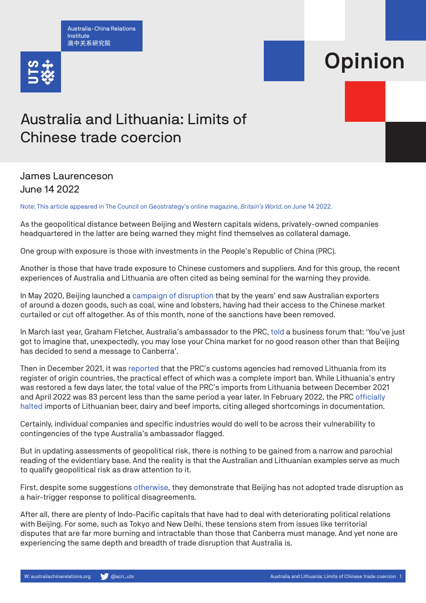Australia-China Relations Institute 澳中关系研究院



## Opinion

## Australia and Lithuania: Limits of Chinese trade coercion

## James Laurenceson June 14 2022

Note: This article appeared in The Council on Geostrategy's online magazine, *Britain's World*, on June 14 2022.

As the geopolitical distance between Beijing and Western capitals widens, privately-owned companies headquartered in the latter are being warned they might find themselves as collateral damage.

One group with exposure is those with investments in the People's Republic of China (PRC).

Another is those that have trade exposure to Chinese customers and suppliers. And for this group, the recent experiences of Australia and Lithuania are often cited as being seminal for the warning they provide.

In May 2020, Beijing launched a [campaign of disruption](https://www.australiachinarelations.org/content/australia%E2%80%99s-export-exposure-china-assessing-costs-disruption) that by the years' end saw Australian exporters of around a dozen goods, such as coal, wine and lobsters, having had their access to the Chinese market curtailed or cut off altogether. As of this month, none of the sanctions have been removed.

In March last year, Graham Fletcher, Australia's ambassador to the PRC, [told](https://www.abc.net.au/news/2021-03-26/australian-ambassador-to-china-says-trade-behaviour-vindictive/100030700) a business forum that: 'You've just got to imagine that, unexpectedly, you may lose your China market for no good reason other than that Beijing has decided to send a message to Canberra'.

Then in December 2021, it was [reported](https://www.reuters.com/article/china-lithuania-trade-idUSKBN2II0Y7) that the PRC's customs agencies had removed Lithuania from its register of origin countries, the practical effect of which was a complete import ban. While Lithuania's entry was restored a few days later, the total value of the PRC's imports from Lithuania between December 2021 and April 2022 was 83 percent less than the same period a year later. In February 2022, the PRC [officially](https://www.bbc.com/news/business-60343316)  [halted](https://www.bbc.com/news/business-60343316) imports of Lithuanian beer, dairy and beef imports, citing alleged shortcomings in documentation.

Certainly, individual companies and specific industries would do well to be across their vulnerability to contingencies of the type Australia's ambassador flagged.

But in updating assessments of geopolitical risk, there is nothing to be gained from a narrow and parochial reading of the evidentiary base. And the reality is that the Australian and Lithuanian examples serve as much to qualify geopolitical risk as draw attention to it.

First, despite some suggestions [otherwise](https://www.aspi.org.au/report/chinese-communist-partys-coercive-diplomacy), they demonstrate that Beijing has not adopted trade disruption as a hair-trigger response to political disagreements.

After all, there are plenty of Indo-Pacific capitals that have had to deal with deteriorating political relations with Beijing. For some, such as Tokyo and New Delhi, these tensions stem from issues like territorial disputes that are far more burning and intractable than those that Canberra must manage. And yet none are experiencing the same depth and breadth of trade disruption that Australia is.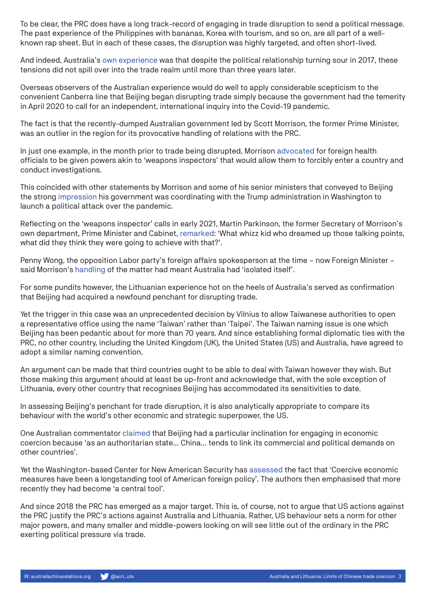To be clear, the PRC does have a long track-record of engaging in trade disruption to send a political message. The past experience of the Philippines with bananas, Korea with tourism, and so on, are all part of a wellknown rap sheet. But in each of these cases, the disruption was highly targeted, and often short-lived.

And indeed, Australia's [own experience](https://regionalsecurity.org.au/security_challenge/1992/) was that despite the political relationship turning sour in 2017, these tensions did not spill over into the trade realm until more than three years later.

Overseas observers of the Australian experience would do well to apply considerable scepticism to the convenient Canberra line that Beijing began disrupting trade simply because the government had the temerity in April 2020 to call for an independent, international inquiry into the Covid-19 pandemic.

The fact is that the recently-dumped Australian government led by Scott Morrison, the former Prime Minister, was an outlier in the region for its provocative handling of relations with the PRC.

In just one example, in the month prior to trade being disrupted, Morrison [advocated](https://parlinfo.aph.gov.au/parlInfo/search/display/display.w3p;query=Id%3A%22media%2Fpressrel%2F7306413%22) for foreign health officials to be given powers akin to 'weapons inspectors' that would allow them to forcibly enter a country and conduct investigations.

This coincided with other statements by Morrison and some of his senior ministers that conveyed to Beijing the strong [impression](https://kluwerlawonline.com/journalarticle/Journal+of+World+Trade/56.5/TRAD2022003) his government was coordinating with the Trump administration in Washington to launch a political attack over the pandemic.

Reflecting on the 'weapons inspector' calls in early 2021, Martin Parkinson, the former Secretary of Morrison's own department, Prime Minister and Cabinet, [remarked](https://www.smh.com.au/politics/federal/australia-doesn-t-have-to-choose-china-over-the-us-martin-parkinson-20210210-p571bx.html): 'What whizz kid who dreamed up those talking points, what did they think they were going to achieve with that?'.

Penny Wong, the opposition Labor party's foreign affairs spokesperson at the time – now Foreign Minister – said Morrison's [handling](https://www.smh.com.au/politics/federal/morrison-calls-for-ban-on-wildlife-markets-and-weapons-inspector-powers-for-who-20200422-p54m9f.html) of the matter had meant Australia had 'isolated itself'.

For some pundits however, the Lithuanian experience hot on the heels of Australia's served as confirmation that Beijing had acquired a newfound penchant for disrupting trade.

Yet the trigger in this case was an unprecedented decision by Vilnius to allow Taiwanese authorities to open a representative office using the name 'Taiwan' rather than 'Taipei'. The Taiwan naming issue is one which Beijing has been pedantic about for more than 70 years. And since establishing formal diplomatic ties with the PRC, no other country, including the United Kingdom (UK), the United States (US) and Australia, have agreed to adopt a similar naming convention.

An argument can be made that third countries ought to be able to deal with Taiwan however they wish. But those making this argument should at least be up-front and acknowledge that, with the sole exception of Lithuania, every other country that recognises Beijing has accommodated its sensitivities to date.

In assessing Beijing's penchant for trade disruption, it is also analytically appropriate to compare its behaviour with the world's other economic and strategic superpower, the US.

One Australian commentator [claimed](https://openresearch-repository.anu.edu.au/bitstream/1885/227708/1/policy-options-paper-2-chinas-economic-leverage.pdf) that Beijing had a particular inclination for engaging in economic coercion because 'as an authoritarian state… China… tends to link its commercial and political demands on other countries'.

Yet the Washington-based Center for New American Security has [assessed](https://www.cnas.org/publications/reports/economic-dominance-financial-technology-and-the-future-of-u-s-economic-coercion) the fact that 'Coercive economic measures have been a longstanding tool of American foreign policy'. The authors then emphasised that more recently they had become 'a central tool'.

And since 2018 the PRC has emerged as a major target. This is, of course, not to argue that US actions against the PRC justify the PRC's actions against Australia and Lithuania. Rather, US behaviour sets a norm for other major powers, and many smaller and middle-powers looking on will see little out of the ordinary in the PRC exerting political pressure via trade.